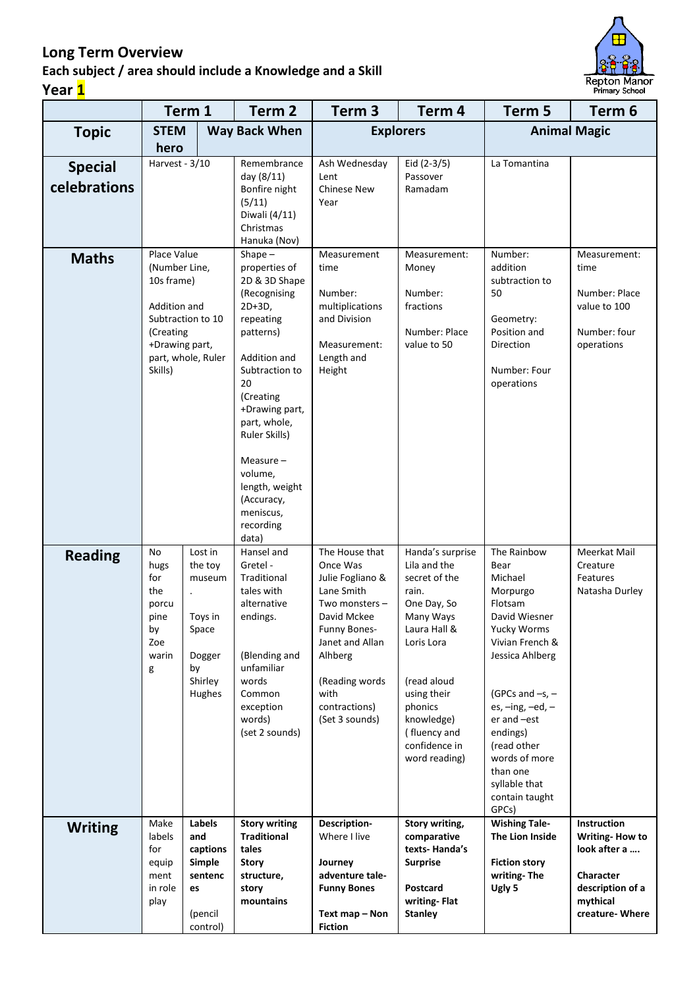## **Long Term Overview**

## **Each subject / area should include a Knowledge and a Skill Year 1**



|                | Term 1                       |                    | Term <sub>2</sub>             | Term <sub>3</sub>               | Term <sub>4</sub>                | Term 5                         | Term <sub>6</sub>             |
|----------------|------------------------------|--------------------|-------------------------------|---------------------------------|----------------------------------|--------------------------------|-------------------------------|
| <b>Topic</b>   | <b>STEM</b>                  |                    | <b>Way Back When</b>          | <b>Explorers</b>                |                                  | <b>Animal Magic</b>            |                               |
|                | hero                         |                    |                               |                                 |                                  |                                |                               |
| <b>Special</b> | Harvest - 3/10               |                    | Remembrance<br>day (8/11)     | Ash Wednesday<br>Lent           | Eid (2-3/5)<br>Passover          | La Tomantina                   |                               |
| celebrations   |                              |                    | Bonfire night                 | <b>Chinese New</b>              | Ramadam                          |                                |                               |
|                |                              |                    | (5/11)                        | Year                            |                                  |                                |                               |
|                |                              |                    | Diwali (4/11)<br>Christmas    |                                 |                                  |                                |                               |
|                |                              |                    | Hanuka (Nov)                  |                                 |                                  |                                |                               |
| <b>Maths</b>   | Place Value<br>(Number Line, |                    | Shape $-$<br>properties of    | Measurement<br>time             | Measurement:<br>Money            | Number:<br>addition            | Measurement:<br>time          |
|                | 10s frame)                   |                    | 2D & 3D Shape                 |                                 |                                  | subtraction to                 |                               |
|                |                              |                    | (Recognising                  | Number:                         | Number:<br>fractions             | 50                             | Number: Place<br>value to 100 |
|                | Addition and                 | Subtraction to 10  | $2D+3D,$<br>repeating         | multiplications<br>and Division |                                  | Geometry:                      |                               |
|                | (Creating                    |                    | patterns)                     |                                 | Number: Place                    | Position and                   | Number: four                  |
|                | +Drawing part,               | part, whole, Ruler | Addition and                  | Measurement:<br>Length and      | value to 50                      | Direction                      | operations                    |
|                | Skills)                      |                    | Subtraction to                | Height                          |                                  | Number: Four                   |                               |
|                |                              |                    | 20<br>(Creating               |                                 |                                  | operations                     |                               |
|                |                              |                    | +Drawing part,                |                                 |                                  |                                |                               |
|                |                              |                    | part, whole,<br>Ruler Skills) |                                 |                                  |                                |                               |
|                |                              |                    |                               |                                 |                                  |                                |                               |
|                |                              |                    | Measure $-$                   |                                 |                                  |                                |                               |
|                |                              |                    | volume,<br>length, weight     |                                 |                                  |                                |                               |
|                |                              |                    | (Accuracy,                    |                                 |                                  |                                |                               |
|                |                              |                    | meniscus,<br>recording        |                                 |                                  |                                |                               |
|                |                              |                    | data)                         |                                 |                                  |                                |                               |
| <b>Reading</b> | No<br>hugs                   | Lost in<br>the toy | Hansel and<br>Gretel -        | The House that<br>Once Was      | Handa's surprise<br>Lila and the | The Rainbow<br>Bear            | Meerkat Mail<br>Creature      |
|                | for                          | museum             | Traditional                   | Julie Fogliano &                | secret of the                    | Michael                        | Features                      |
|                | the<br>porcu                 |                    | tales with<br>alternative     | Lane Smith<br>Two monsters -    | rain.<br>One Day, So             | Morpurgo<br>Flotsam            | Natasha Durley                |
|                | pine                         | Toys in            | endings.                      | David Mckee                     | Many Ways                        | David Wiesner                  |                               |
|                | by<br>Zoe                    | Space              |                               | Funny Bones-<br>Janet and Allan | Laura Hall &<br>Loris Lora       | Yucky Worms<br>Vivian French & |                               |
|                | warin                        | Dogger             | (Blending and                 | Alhberg                         |                                  | Jessica Ahlberg                |                               |
|                | g                            | by                 | unfamiliar                    |                                 |                                  |                                |                               |
|                |                              | Shirley<br>Hughes  | words<br>Common               | (Reading words<br>with          | (read aloud<br>using their       | (GPCs and $-s$ , $-$           |                               |
|                |                              |                    | exception                     | contractions)                   | phonics                          | es, $-$ ing, $-$ ed, $-$       |                               |
|                |                              |                    | words)<br>(set 2 sounds)      | (Set 3 sounds)                  | knowledge)<br>(fluency and       | er and -est<br>endings)        |                               |
|                |                              |                    |                               |                                 | confidence in                    | (read other                    |                               |
|                |                              |                    |                               |                                 | word reading)                    | words of more<br>than one      |                               |
|                |                              |                    |                               |                                 |                                  | syllable that                  |                               |
|                |                              |                    |                               |                                 |                                  | contain taught<br>GPCs)        |                               |
| <b>Writing</b> | Make                         | Labels             | <b>Story writing</b>          | Description-                    | Story writing,                   | <b>Wishing Tale-</b>           | Instruction                   |
|                | labels<br>for                | and                | <b>Traditional</b>            | Where I live                    | comparative<br>texts-Handa's     | The Lion Inside                | <b>Writing-How to</b>         |
|                | equip                        | captions<br>Simple | tales<br><b>Story</b>         | Journey                         | <b>Surprise</b>                  | <b>Fiction story</b>           | look after a                  |
|                | ment                         | sentenc            | structure,                    | adventure tale-                 |                                  | writing-The                    | Character                     |
|                | in role<br>play              | es                 | story<br>mountains            | <b>Funny Bones</b>              | Postcard<br>writing-Flat         | Ugly 5                         | description of a<br>mythical  |
|                |                              | (pencil            |                               | Text map - Non                  | <b>Stanley</b>                   |                                | creature-Where                |
|                |                              | control)           |                               | <b>Fiction</b>                  |                                  |                                |                               |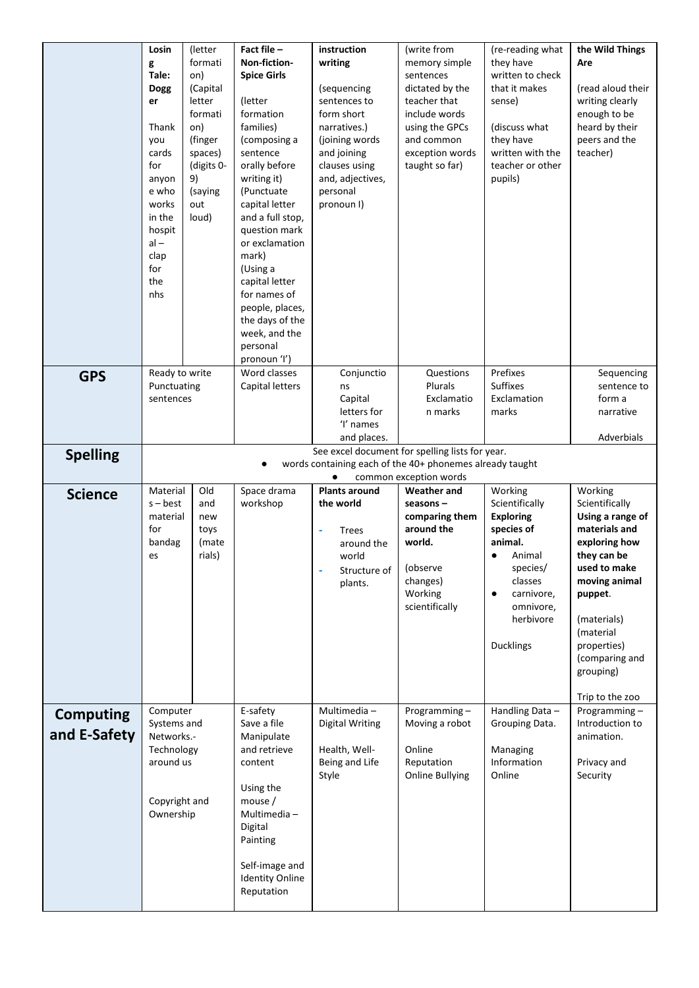|                                  | Losin<br>g<br>Tale:<br><b>Dogg</b><br>er<br>Thank<br>you<br>cards<br>for<br>anyon<br>e who<br>works<br>in the<br>hospit<br>$al -$<br>clap<br>for<br>the<br>nhs | (letter<br>formati<br>on)<br>(Capital<br>letter<br>formati<br>on)<br>(finger<br>spaces)<br>(digits 0-<br>9)<br>(saying<br>out<br>loud) | Fact file -<br>Non-fiction-<br><b>Spice Girls</b><br>(letter<br>formation<br>families)<br>(composing a<br>sentence<br>orally before<br>writing it)<br>(Punctuate<br>capital letter<br>and a full stop,<br>question mark<br>or exclamation<br>mark)<br>(Using a<br>capital letter<br>for names of<br>people, places,<br>the days of the<br>week, and the<br>personal<br>pronoun 'l') | instruction<br>writing<br>(sequencing<br>sentences to<br>form short<br>narratives.)<br>(joining words<br>and joining<br>clauses using<br>and, adjectives,<br>personal<br>pronoun I) | (write from<br>memory simple<br>sentences<br>dictated by the<br>teacher that<br>include words<br>using the GPCs<br>and common<br>exception words<br>taught so far) | (re-reading what<br>they have<br>written to check<br>that it makes<br>sense)<br>(discuss what<br>they have<br>written with the<br>teacher or other<br>pupils)                          | the Wild Things<br>Are<br>(read aloud their<br>writing clearly<br>enough to be<br>heard by their<br>peers and the<br>teacher)                                                                                                           |  |  |
|----------------------------------|----------------------------------------------------------------------------------------------------------------------------------------------------------------|----------------------------------------------------------------------------------------------------------------------------------------|-------------------------------------------------------------------------------------------------------------------------------------------------------------------------------------------------------------------------------------------------------------------------------------------------------------------------------------------------------------------------------------|-------------------------------------------------------------------------------------------------------------------------------------------------------------------------------------|--------------------------------------------------------------------------------------------------------------------------------------------------------------------|----------------------------------------------------------------------------------------------------------------------------------------------------------------------------------------|-----------------------------------------------------------------------------------------------------------------------------------------------------------------------------------------------------------------------------------------|--|--|
| <b>GPS</b>                       | Ready to write<br>Punctuating<br>sentences                                                                                                                     |                                                                                                                                        | Word classes<br>Capital letters                                                                                                                                                                                                                                                                                                                                                     | Conjunctio<br>ns<br>Capital<br>letters for<br>'I' names<br>and places.                                                                                                              | Questions<br>Plurals<br>Exclamatio<br>n marks                                                                                                                      | Prefixes<br><b>Suffixes</b><br>Exclamation<br>marks                                                                                                                                    | Sequencing<br>sentence to<br>form a<br>narrative<br>Adverbials                                                                                                                                                                          |  |  |
| <b>Spelling</b>                  |                                                                                                                                                                | See excel document for spelling lists for year.<br>words containing each of the 40+ phonemes already taught<br>common exception words  |                                                                                                                                                                                                                                                                                                                                                                                     |                                                                                                                                                                                     |                                                                                                                                                                    |                                                                                                                                                                                        |                                                                                                                                                                                                                                         |  |  |
| <b>Science</b>                   | Material<br>$s - best$<br>material<br>for<br>bandag<br>es                                                                                                      | Old<br>and<br>new<br>toys<br>(mate<br>rials)                                                                                           | Space drama<br>workshop                                                                                                                                                                                                                                                                                                                                                             | <b>Plants around</b><br>the world<br><b>Trees</b><br>L,<br>around the<br>world<br>Structure of<br>plants.                                                                           | <b>Weather and</b><br>seasons-<br>comparing them<br>around the<br>world.<br>(observe<br>changes)<br>Working<br>scientifically                                      | Working<br>Scientifically<br><b>Exploring</b><br>species of<br>animal.<br>Animal<br>$\bullet$<br>species/<br>classes<br>carnivore,<br>$\bullet$<br>omnivore,<br>herbivore<br>Ducklings | Working<br>Scientifically<br>Using a range of<br>materials and<br>exploring how<br>they can be<br>used to make<br>moving animal<br>puppet.<br>(materials)<br>(material<br>properties)<br>(comparing and<br>grouping)<br>Trip to the zoo |  |  |
| <b>Computing</b><br>and E-Safety | Computer<br>Systems and<br>Networks.-<br>Technology<br>around us<br>Copyright and<br>Ownership                                                                 |                                                                                                                                        | E-safety<br>Save a file<br>Manipulate<br>and retrieve<br>content<br>Using the<br>mouse $/$<br>Multimedia-<br>Digital<br>Painting<br>Self-image and<br><b>Identity Online</b><br>Reputation                                                                                                                                                                                          | Multimedia-<br><b>Digital Writing</b><br>Health, Well-<br>Being and Life<br>Style                                                                                                   | Programming-<br>Moving a robot<br>Online<br>Reputation<br><b>Online Bullying</b>                                                                                   | Handling Data-<br>Grouping Data.<br>Managing<br>Information<br>Online                                                                                                                  | Programming-<br>Introduction to<br>animation.<br>Privacy and<br>Security                                                                                                                                                                |  |  |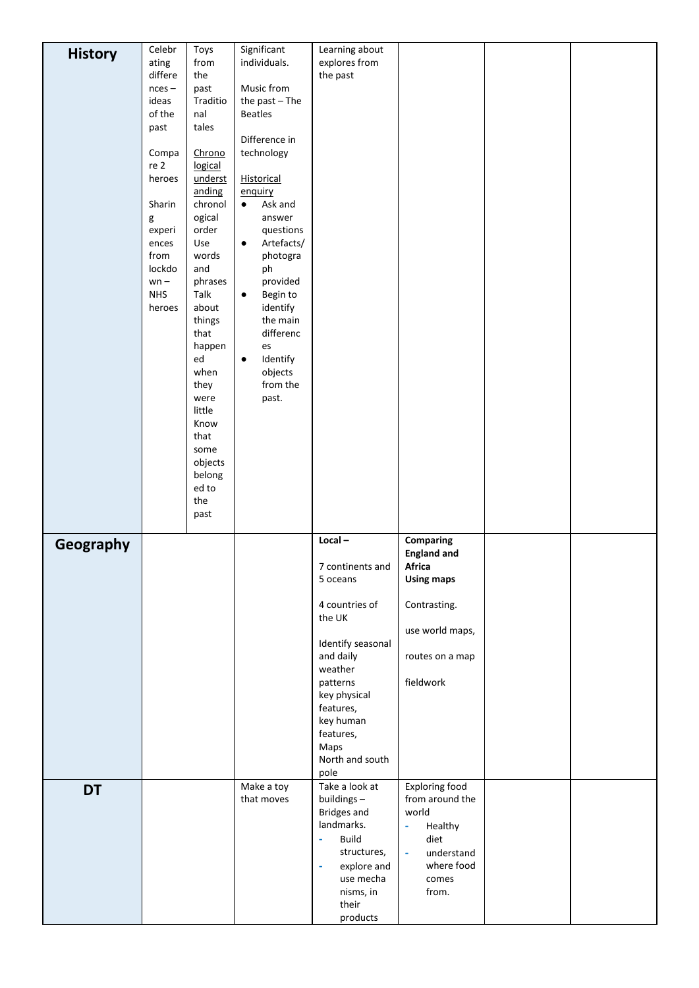| <b>History</b> | Celebr<br>ating      | Toys<br>from       | Significant<br>individuals.         | Learning about<br>explores from  |                                 |  |
|----------------|----------------------|--------------------|-------------------------------------|----------------------------------|---------------------------------|--|
|                | differe              | the                |                                     | the past                         |                                 |  |
|                | $nces -$<br>ideas    | past<br>Traditio   | Music from<br>the past $-$ The      |                                  |                                 |  |
|                | of the               | nal                | <b>Beatles</b>                      |                                  |                                 |  |
|                | past                 | tales              | Difference in                       |                                  |                                 |  |
|                | Compa                | Chrono             | technology                          |                                  |                                 |  |
|                | re 2<br>heroes       | logical<br>underst | <b>Historical</b>                   |                                  |                                 |  |
|                |                      | anding             | enquiry                             |                                  |                                 |  |
|                | Sharin<br>g          | chronol<br>ogical  | Ask and<br>$\bullet$<br>answer      |                                  |                                 |  |
|                | experi               | order              | questions                           |                                  |                                 |  |
|                | ences<br>from        | Use<br>words       | Artefacts/<br>$\bullet$<br>photogra |                                  |                                 |  |
|                | lockdo               | and                | ph                                  |                                  |                                 |  |
|                | $wn -$<br><b>NHS</b> | phrases<br>Talk    | provided<br>Begin to<br>$\bullet$   |                                  |                                 |  |
|                | heroes               | about              | identify                            |                                  |                                 |  |
|                |                      | things<br>that     | the main<br>differenc               |                                  |                                 |  |
|                |                      | happen             | es                                  |                                  |                                 |  |
|                |                      | ed<br>when         | Identify<br>$\bullet$<br>objects    |                                  |                                 |  |
|                |                      | they<br>were       | from the                            |                                  |                                 |  |
|                |                      | little             | past.                               |                                  |                                 |  |
|                |                      | Know<br>that       |                                     |                                  |                                 |  |
|                |                      | some               |                                     |                                  |                                 |  |
|                |                      | objects<br>belong  |                                     |                                  |                                 |  |
|                |                      | ed to              |                                     |                                  |                                 |  |
|                |                      | the<br>past        |                                     |                                  |                                 |  |
|                |                      |                    |                                     |                                  |                                 |  |
| Geography      |                      |                    |                                     | Local-                           | Comparing<br><b>England and</b> |  |
|                |                      |                    |                                     | 7 continents and                 | Africa<br><b>Using maps</b>     |  |
|                |                      |                    |                                     | 5 oceans                         |                                 |  |
|                |                      |                    |                                     | 4 countries of<br>the UK         | Contrasting.                    |  |
|                |                      |                    |                                     |                                  | use world maps,                 |  |
|                |                      |                    |                                     | Identify seasonal<br>and daily   | routes on a map                 |  |
|                |                      |                    |                                     | weather                          |                                 |  |
|                |                      |                    |                                     | patterns<br>key physical         | fieldwork                       |  |
|                |                      |                    |                                     | features,                        |                                 |  |
|                |                      |                    |                                     | key human<br>features,           |                                 |  |
|                |                      |                    |                                     | Maps                             |                                 |  |
|                |                      |                    |                                     | North and south<br>pole          |                                 |  |
| <b>DT</b>      |                      |                    | Make a toy                          | Take a look at                   | <b>Exploring food</b>           |  |
|                |                      |                    | that moves                          | buildings-<br><b>Bridges and</b> | from around the<br>world        |  |
|                |                      |                    |                                     | landmarks.                       | Healthy<br>÷                    |  |
|                |                      |                    |                                     | <b>Build</b><br>÷<br>structures, | diet<br>understand<br>÷,        |  |
|                |                      |                    |                                     | explore and<br>$\blacksquare$    | where food                      |  |
|                |                      |                    |                                     | use mecha<br>nisms, in           | comes<br>from.                  |  |
|                |                      |                    |                                     | their<br>products                |                                 |  |
|                |                      |                    |                                     |                                  |                                 |  |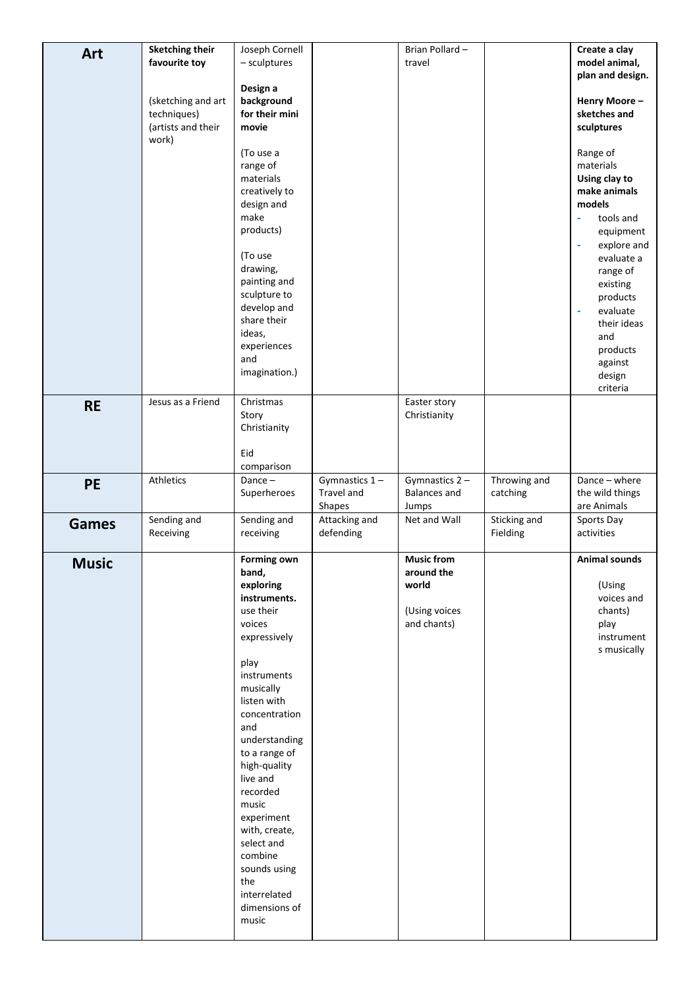| <b>Art</b>   | Sketching their<br>favourite toy<br>(sketching and art<br>techniques)<br>(artists and their<br>work) | Joseph Cornell<br>- sculptures<br>Design a<br>background<br>for their mini<br>movie<br>(To use a<br>range of<br>materials<br>creatively to<br>design and<br>make<br>products)<br>(To use<br>drawing,<br>painting and<br>sculpture to<br>develop and<br>share their<br>ideas,<br>experiences<br>and<br>imagination.)                                                             |                                          | Brian Pollard-<br>travel                                                 |                          | Create a clay<br>model animal,<br>plan and design.<br>Henry Moore-<br>sketches and<br>sculptures<br>Range of<br>materials<br>Using clay to<br>make animals<br>models<br>tools and<br>÷,<br>equipment<br>explore and<br>÷<br>evaluate a<br>range of<br>existing<br>products<br>evaluate<br>ä,<br>their ideas<br>and<br>products<br>against<br>design<br>criteria |
|--------------|------------------------------------------------------------------------------------------------------|---------------------------------------------------------------------------------------------------------------------------------------------------------------------------------------------------------------------------------------------------------------------------------------------------------------------------------------------------------------------------------|------------------------------------------|--------------------------------------------------------------------------|--------------------------|-----------------------------------------------------------------------------------------------------------------------------------------------------------------------------------------------------------------------------------------------------------------------------------------------------------------------------------------------------------------|
| <b>RE</b>    | Jesus as a Friend                                                                                    | Christmas<br>Story<br>Christianity<br>Eid<br>comparison                                                                                                                                                                                                                                                                                                                         |                                          | Easter story<br>Christianity                                             |                          |                                                                                                                                                                                                                                                                                                                                                                 |
| <b>PE</b>    | Athletics                                                                                            | Dance-<br>Superheroes                                                                                                                                                                                                                                                                                                                                                           | Gymnastics $1 -$<br>Travel and<br>Shapes | Gymnastics $2 -$<br><b>Balances</b> and<br>Jumps                         | Throwing and<br>catching | Dance - where<br>the wild things<br>are Animals                                                                                                                                                                                                                                                                                                                 |
| <b>Games</b> | Sending and<br>Receiving                                                                             | Sending and<br>receiving                                                                                                                                                                                                                                                                                                                                                        | Attacking and<br>defending               | Net and Wall                                                             | Sticking and<br>Fielding | Sports Day<br>activities                                                                                                                                                                                                                                                                                                                                        |
| <b>Music</b> |                                                                                                      | Forming own<br>band,<br>exploring<br>instruments.<br>use their<br>voices<br>expressively<br>play<br>instruments<br>musically<br>listen with<br>concentration<br>and<br>understanding<br>to a range of<br>high-quality<br>live and<br>recorded<br>music<br>experiment<br>with, create,<br>select and<br>combine<br>sounds using<br>the<br>interrelated<br>dimensions of<br>music |                                          | <b>Music from</b><br>around the<br>world<br>(Using voices<br>and chants) |                          | <b>Animal sounds</b><br>(Using<br>voices and<br>chants)<br>play<br>instrument<br>s musically                                                                                                                                                                                                                                                                    |